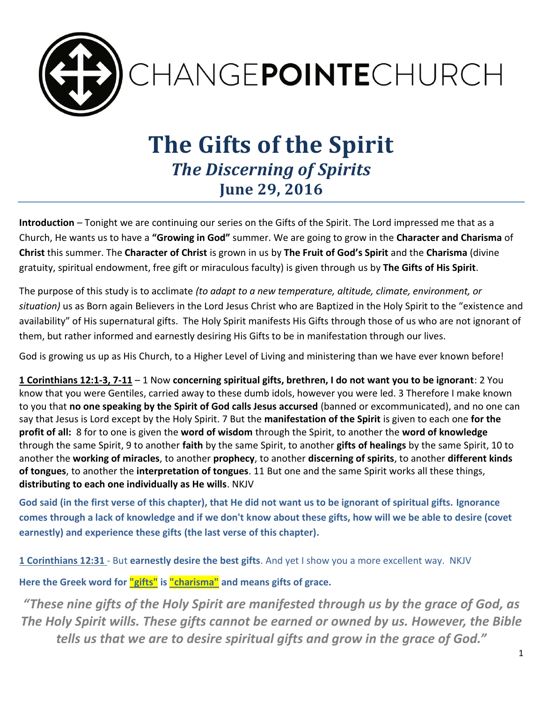

## **The Gifts of the Spirit** *The Discerning of Spirits* **June 29, 2016**

**Introduction** – Tonight we are continuing our series on the Gifts of the Spirit. The Lord impressed me that as a Church, He wants us to have a **"Growing in God"** summer. We are going to grow in the **Character and Charisma** of **Christ** this summer. The **Character of Christ** is grown in us by **The Fruit of God's Spirit** and the **Charisma** (divine gratuity, spiritual endowment, free gift or miraculous faculty) is given through us by **The Gifts of His Spirit**.

The purpose of this study is to acclimate *(to adapt to a new temperature, altitude, climate, environment, or situation)* us as Born again Believers in the Lord Jesus Christ who are Baptized in the Holy Spirit to the "existence and availability" of His supernatural gifts. The Holy Spirit manifests His Gifts through those of us who are not ignorant of them, but rather informed and earnestly desiring His Gifts to be in manifestation through our lives.

God is growing us up as His Church, to a Higher Level of Living and ministering than we have ever known before!

**1 Corinthians 12:1-3, 7-11** – 1 Now **concerning spiritual gifts, brethren, I do not want you to be ignorant**: 2 You know that you were Gentiles, carried away to these dumb idols, however you were led. 3 Therefore I make known to you that **no one speaking by the Spirit of God calls Jesus accursed** (banned or excommunicated), and no one can say that Jesus is Lord except by the Holy Spirit. 7 But the **manifestation of the Spirit** is given to each one **for the profit of all:** 8 for to one is given the **word of wisdom** through the Spirit, to another the **word of knowledge** through the same Spirit, 9 to another **faith** by the same Spirit, to another **gifts of healings** by the same Spirit, 10 to another the **working of miracles**, to another **prophecy**, to another **discerning of spirits**, to another **different kinds of tongues**, to another the **interpretation of tongues**. 11 But one and the same Spirit works all these things, **distributing to each one individually as He wills**. NKJV

**God said (in the first verse of this chapter), that He did not want us to be ignorant of spiritual gifts. Ignorance comes through a lack of knowledge and if we don't know about these gifts, how will we be able to desire (covet earnestly) and experience these gifts (the last verse of this chapter).**

**1 Corinthians 12:31** - But **earnestly desire the best gifts**. And yet I show you a more excellent way. NKJV

**Here the Greek word for "gifts" is "charisma" and means gifts of grace.** 

*"These nine gifts of the Holy Spirit are manifested through us by the grace of God, as The Holy Spirit wills. These gifts cannot be earned or owned by us. However, the Bible tells us that we are to desire spiritual gifts and grow in the grace of God."*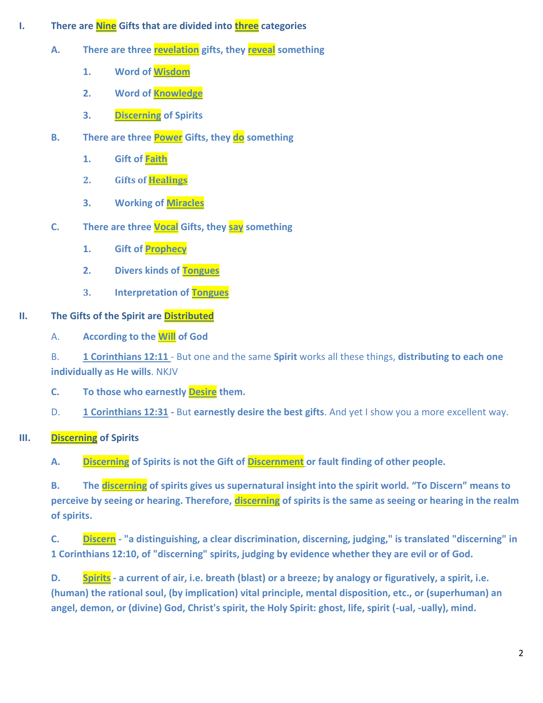- **I. There are Nine Gifts that are divided into three categories** 
	- **A. There are three revelation gifts, they reveal something**
		- **1. Word of Wisdom**
		- **2. Word of Knowledge**
		- **3. Discerning of Spirits**
	- **B. There are three Power Gifts, they do something** 
		- **1. Gift of Faith**
		- **2. Gifts of Healings**
		- **3. Working of Miracles**
	- **C. There are three Vocal Gifts, they say something**
		- **1. Gift of Prophecy**
		- **2. Divers kinds of Tongues**
		- **3. Interpretation of Tongues**

## **II. The Gifts of the Spirit are Distributed**

A. **According to the Will of God**

B. **1 Corinthians 12:11** - But one and the same **Spirit** works all these things, **distributing to each one individually as He wills**. NKJV

**C. To those who earnestly Desire them.**

D. **1 Corinthians 12:31 -** But **earnestly desire the best gifts**. And yet I show you a more excellent way.

**III. Discerning of Spirits**

**A. Discerning of Spirits is not the Gift of Discernment or fault finding of other people.** 

**B. The discerning of spirits gives us supernatural insight into the spirit world. "To Discern" means to perceive by seeing or hearing. Therefore, discerning of spirits is the same as seeing or hearing in the realm of spirits.**

**C. Discern - "a distinguishing, a clear discrimination, discerning, judging," is translated "discerning" in 1 Corinthians 12:10, of "discerning" spirits, judging by evidence whether they are evil or of God.**

**D. Spirits - a current of air, i.e. breath (blast) or a breeze; by analogy or figuratively, a spirit, i.e. (human) the rational soul, (by implication) vital principle, mental disposition, etc., or (superhuman) an angel, demon, or (divine) God, Christ's spirit, the Holy Spirit: ghost, life, spirit (-ual, -ually), mind.**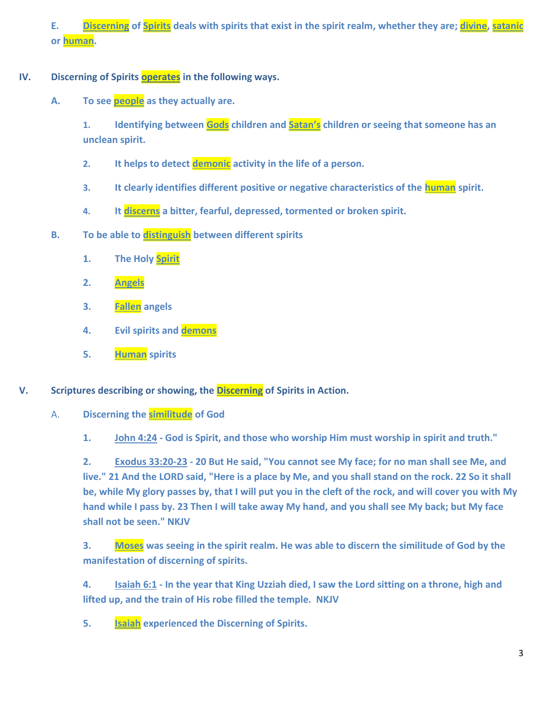**E. Discerning of Spirits deals with spirits that exist in the spirit realm, whether they are; divine, satanic or human.** 

- **IV.** Discerning of Spirits **operates** in the following ways.
	- **A. To see people as they actually are.**

**1. Identifying between Gods children and Satan's children or seeing that someone has an unclean spirit.** 

- **2. It helps to detect demonic activity in the life of a person.**
- **3. It clearly identifies different positive or negative characteristics of the human spirit.**
- **4. It discerns a bitter, fearful, depressed, tormented or broken spirit.**
- **B. To be able to distinguish between different spirits**
	- **1. The Holy Spirit**
	- **2. Angels**
	- **3. Fallen angels**
	- **4. Evil spirits and demons**
	- **5. Human spirits**
- **V. Scriptures describing or showing, the Discerning of Spirits in Action.** 
	- A. **Discerning the similitude of God**

**1. John 4:24 - God is Spirit, and those who worship Him must worship in spirit and truth."** 

**2. Exodus 33:20-23 - 20 But He said, "You cannot see My face; for no man shall see Me, and live." 21 And the LORD said, "Here is a place by Me, and you shall stand on the rock. 22 So it shall be, while My glory passes by, that I will put you in the cleft of the rock, and will cover you with My hand while I pass by. 23 Then I will take away My hand, and you shall see My back; but My face shall not be seen." NKJV** 

**3. Moses was seeing in the spirit realm. He was able to discern the similitude of God by the manifestation of discerning of spirits.** 

**4. Isaiah 6:1 - In the year that King Uzziah died, I saw the Lord sitting on a throne, high and lifted up, and the train of His robe filled the temple. NKJV**

**5. Isaiah experienced the Discerning of Spirits.**